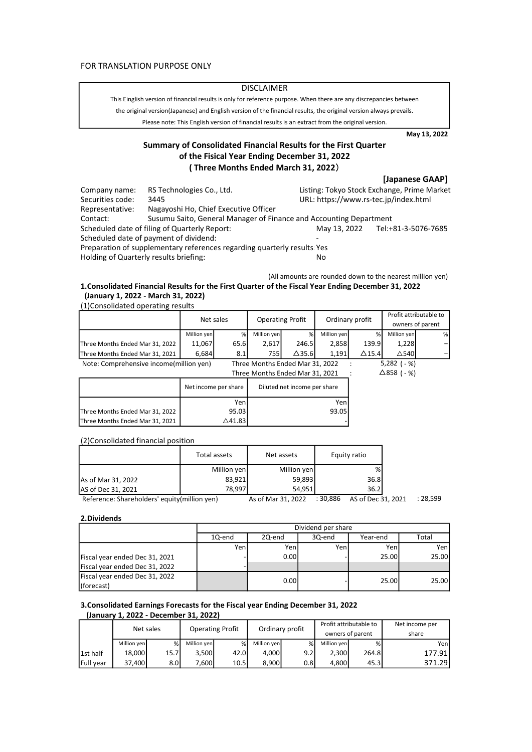### **DISCLAIMER**

the original version(Japanese) and English version of the financial results, the original version always prevails. This Einglish version of financial results is only for reference purpose. When there are any discrepancies between

Please note: This English version of financial results is an extract from the original version.

May 13, 2022

# Summary of Consolidated Financial Results for the First Quarter of the Fisical Year Ending December 31, 2022 ( Three Months Ended March 31, 2022)

|                                               |                                                                          |                                       | [Japanese GAAP]                             |  |  |
|-----------------------------------------------|--------------------------------------------------------------------------|---------------------------------------|---------------------------------------------|--|--|
| Company name:                                 | RS Technologies Co., Ltd.                                                |                                       | Listing: Tokyo Stock Exchange, Prime Market |  |  |
| Securities code:                              | 3445                                                                     | URL: https://www.rs-tec.jp/index.html |                                             |  |  |
| Representative:                               | Nagayoshi Ho, Chief Executive Officer                                    |                                       |                                             |  |  |
| Contact:                                      | Susumu Saito, General Manager of Finance and Accounting Department       |                                       |                                             |  |  |
| Scheduled date of filing of Quarterly Report: |                                                                          | May 13, 2022                          | Tel:+81-3-5076-7685                         |  |  |
|                                               | Scheduled date of payment of dividend:                                   |                                       |                                             |  |  |
|                                               | Preparation of supplementary references regarding quarterly results: Yes |                                       |                                             |  |  |
| Holding of Quarterly results briefing:        |                                                                          | No                                    |                                             |  |  |

### (All amounts are rounded down to the nearest million yen) 1.Consolidated Financial Results for the First Quarter of the Fiscal Year Ending December 31, 2022 (January 1, 2022 - March 31, 2022) (1)Consolidated operating results

|                                         | Net sales                       |      | <b>Operating Profit</b>         |                              | Ordinary profit |               | Profit attributable to<br>owners of parent |   |
|-----------------------------------------|---------------------------------|------|---------------------------------|------------------------------|-----------------|---------------|--------------------------------------------|---|
|                                         | Million yen                     | %    | Million yen                     | %                            | Million yen     | %             | Million yen                                | % |
| Three Months Ended Mar 31, 2022         | 11,067                          | 65.6 | 2,617                           | 246.5                        | 2,858           | 139.9         | 1,228                                      |   |
| Three Months Ended Mar 31, 2021         | 6,684                           | 8.1  | 755 l                           | $\triangle$ 35.6             | 1,191           | $\Delta$ 15.4 | $\triangle$ 540                            |   |
| Note: Comprehensive income(million yen) | Three Months Ended Mar 31, 2022 |      |                                 | $5,282$ ( - %)               |                 |               |                                            |   |
|                                         |                                 |      | Three Months Ended Mar 31, 2021 |                              |                 |               | $\Delta$ 858 ( - %)                        |   |
|                                         | Net income per share            |      |                                 | Diluted net income per share |                 |               |                                            |   |
|                                         |                                 | Yenl |                                 |                              | Yen             |               |                                            |   |
| Three Months Ended Mar 31, 2022         | 95.03                           |      |                                 |                              | 93.05           |               |                                            |   |
| Three Months Ended Mar 31, 2021         | $\triangle$ 41.83               |      |                                 |                              |                 |               |                                            |   |

(2)Consolidated financial position

|                                              | Total assets | Net assets         | Equity ratio                   |          |
|----------------------------------------------|--------------|--------------------|--------------------------------|----------|
|                                              | Million yen  | Million yen        | %                              |          |
| As of Mar 31, 2022                           | 83,921       | 59,893             | 36.8                           |          |
| AS of Dec 31, 2021                           | 78.997       | 54.951             | 36.2                           |          |
| Reference: Shareholders' equity(million yen) |              | As of Mar 31, 2022 | : 30,886<br>AS of Dec 31, 2021 | : 28,599 |

#### 2.Dividends

|                                |        | Dividend per share           |     |       |       |  |  |
|--------------------------------|--------|------------------------------|-----|-------|-------|--|--|
|                                | 10-end | 3Q-end<br>2Q-end<br>Year-end |     |       |       |  |  |
|                                | Yenl   | Yen                          | Yen | Yen   | Yen   |  |  |
| Fiscal year ended Dec 31, 2021 |        | 0.001                        |     | 25.00 | 25.00 |  |  |
| Fiscal year ended Dec 31, 2022 |        |                              |     |       |       |  |  |
| Fiscal year ended Dec 31, 2022 |        | 0.00                         |     | 25.00 | 25.00 |  |  |
| (forecast)                     |        |                              |     |       |       |  |  |

### 3.Consolidated Earnings Forecasts for the Fiscal year Ending December 31, 2022 (January 1, 2022 - December 31, 2022)

| Net sales        |             | <b>Operating Profit</b> |             | Ordinary profit |             | Profit attributable to |             | Net income per   |        |
|------------------|-------------|-------------------------|-------------|-----------------|-------------|------------------------|-------------|------------------|--------|
|                  |             |                         |             |                 |             |                        |             | owners of parent | share  |
|                  | Million ven | %                       | Million ven | %               | Million yen | %                      | Million yen | %                | Yen    |
| 1st half         | 18,000      | 15.7                    | 3,500       | 42.0            | 4.000       | 9.2                    | 2.300       | 264.8            | 177.91 |
| <b>Full vear</b> | 37.400      | 8.0 <sub>l</sub>        | .6001       | 10.5            | 8.900       | 0.8                    | 4.800       | 45.3             | 371.29 |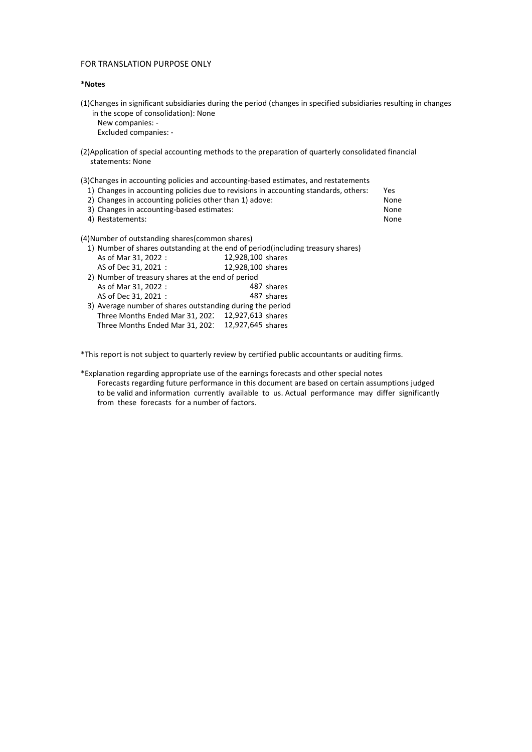### \*Notes

(1)Changes in significant subsidiaries during the period (changes in specified subsidiaries resulting in changes in the scope of consolidation): None

New companies: - Excluded companies: -

(2)Application of special accounting methods to the preparation of quarterly consolidated financial statements: None

(3)Changes in accounting policies and accounting-based estimates, and restatements

- 1) Changes in accounting policies due to revisions in accounting standards, others: Yes
- 2) Changes in accounting policies other than 1) adove: None 3) Changes in accounting-based estimates:<br>4) Restatements: None
- 4) Restatements:

(4)Number of outstanding shares(common shares)

- 1) Number of shares outstanding at the end of period(including treasury shares) As of Mar 31, 2022 : AS of Dec 31, 2021 : 12,928,100 12,928,100
- 2) Number of treasury shares at the end of period As of Mar 31, 2022 : AS of Dec 31, 2021 : 3) Average number of shares outstanding during the period Three Months Ended Mar 31, 202.  $12,927,613$  shares 487 shares 487 shares 12,927,613
- Three Months Ended Mar 31, 202 $12,927,645$  shares

\*This report is not subject to quarterly review by certified public accountants or auditing firms.

\*Explanation regarding appropriate use of the earnings forecasts and other special notes Forecasts regarding future performance in this document are based on certain assumptions judged to be valid and information currently available to us. Actual performance may differ significantly from these forecasts for a number of factors.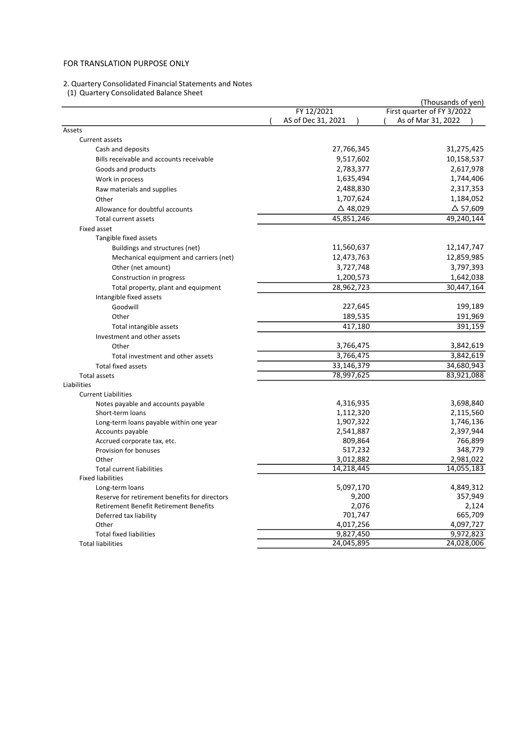#### 2. Quartery Consolidated Financial Statements and Notes

(1) Quartery Consolidated Balance Sheet

|                                               |                    | (Thousands of yen)         |
|-----------------------------------------------|--------------------|----------------------------|
|                                               | FY 12/2021         | First quarter of FY 3/2022 |
|                                               | AS of Dec 31, 2021 | As of Mar 31, 2022         |
| Assets                                        |                    |                            |
| Current assets                                |                    |                            |
| Cash and deposits                             | 27,766,345         | 31,275,425                 |
| Bills receivable and accounts receivable      | 9,517,602          | 10,158,537                 |
| Goods and products                            | 2,783,377          | 2,617,978                  |
| Work in process                               | 1,635,494          | 1,744,406                  |
| Raw materials and supplies                    | 2,488,830          | 2,317,353                  |
| Other                                         | 1,707,624          | 1,184,052                  |
| Allowance for doubtful accounts               | $\Delta$ 48,029    | $\Delta$ 57,609            |
| Total current assets                          | 45,851,246         | 49,240,144                 |
| Fixed asset                                   |                    |                            |
| Tangible fixed assets                         |                    |                            |
| Buildings and structures (net)                | 11,560,637         | 12,147,747                 |
| Mechanical equipment and carriers (net)       | 12,473,763         | 12,859,985                 |
| Other (net amount)                            | 3,727,748          | 3,797,393                  |
| Construction in progress                      | 1,200,573          | 1,642,038                  |
| Total property, plant and equipment           | 28,962,723         | 30,447,164                 |
| Intangible fixed assets                       |                    |                            |
| Goodwill                                      | 227,645            | 199,189                    |
| Other                                         | 189,535            | 191,969                    |
| Total intangible assets                       | 417,180            | 391,159                    |
| Investment and other assets                   |                    |                            |
| Other                                         | 3,766,475          | 3,842,619                  |
| Total investment and other assets             | 3,766,475          | 3,842,619                  |
| <b>Total fixed assets</b>                     | 33,146,379         | 34,680,943                 |
| <b>Total assets</b>                           | 78,997,625         | 83,921,088                 |
| Liabilities                                   |                    |                            |
| <b>Current Liabilities</b>                    |                    |                            |
| Notes payable and accounts payable            | 4,316,935          | 3,698,840                  |
| Short-term loans                              | 1,112,320          | 2,115,560                  |
| Long-term loans payable within one year       | 1,907,322          | 1,746,136                  |
| Accounts payable                              | 2,541,887          | 2,397,944                  |
| Accrued corporate tax, etc.                   | 809,864            | 766,899                    |
| Provision for bonuses                         | 517,232            | 348,779                    |
| Other                                         | 3,012,882          | 2,981,022                  |
| <b>Total current liabilities</b>              | 14,218,445         | 14,055,183                 |
| <b>Fixed liabilities</b>                      |                    |                            |
| Long-term loans                               | 5,097,170          | 4,849,312                  |
| Reserve for retirement benefits for directors | 9,200              | 357,949                    |
| <b>Retirement Benefit Retirement Benefits</b> | 2,076              | 2,124                      |
| Deferred tax liability                        | 701,747            | 665,709                    |
| Other                                         | 4,017,256          | 4,097,727                  |
| <b>Total fixed liabilities</b>                | 9,827,450          | 9,972,823                  |
| <b>Total liabilities</b>                      | 24,045,895         | 24,028,006                 |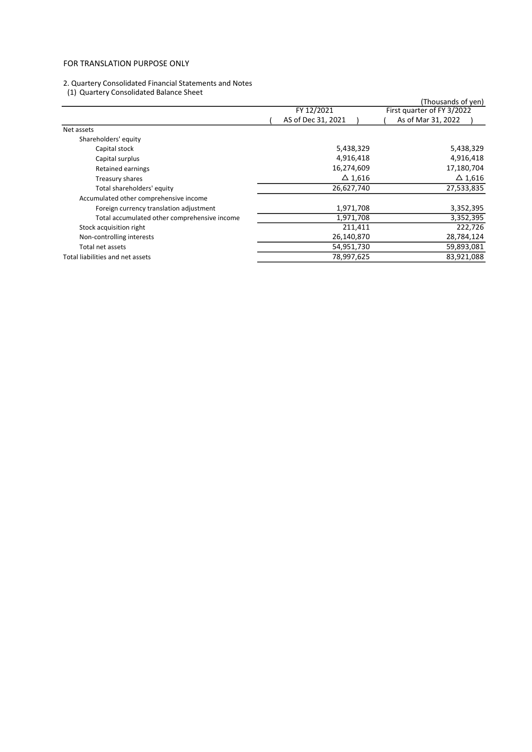#### 2. Quartery Consolidated Financial Statements and Notes

(1) Quartery Consolidated Balance Sheet

| (1) Quartery Consolidated Balance Sheet      |                    |                            |
|----------------------------------------------|--------------------|----------------------------|
|                                              |                    | (Thousands of yen)         |
|                                              | FY 12/2021         | First quarter of FY 3/2022 |
|                                              | AS of Dec 31, 2021 | As of Mar 31, 2022         |
| Net assets                                   |                    |                            |
| Shareholders' equity                         |                    |                            |
| Capital stock                                | 5,438,329          | 5,438,329                  |
| Capital surplus                              | 4,916,418          | 4,916,418                  |
| Retained earnings                            | 16,274,609         | 17,180,704                 |
| Treasury shares                              | $\Delta$ 1,616     | $\Delta$ 1,616             |
| Total shareholders' equity                   | 26,627,740         | 27,533,835                 |
| Accumulated other comprehensive income       |                    |                            |
| Foreign currency translation adjustment      | 1,971,708          | 3,352,395                  |
| Total accumulated other comprehensive income | 1,971,708          | 3,352,395                  |
| Stock acquisition right                      | 211,411            | 222,726                    |
| Non-controlling interests                    | 26,140,870         | 28,784,124                 |
| Total net assets                             | 54,951,730         | 59,893,081                 |
| Total liabilities and net assets             | 78,997,625         | 83,921,088                 |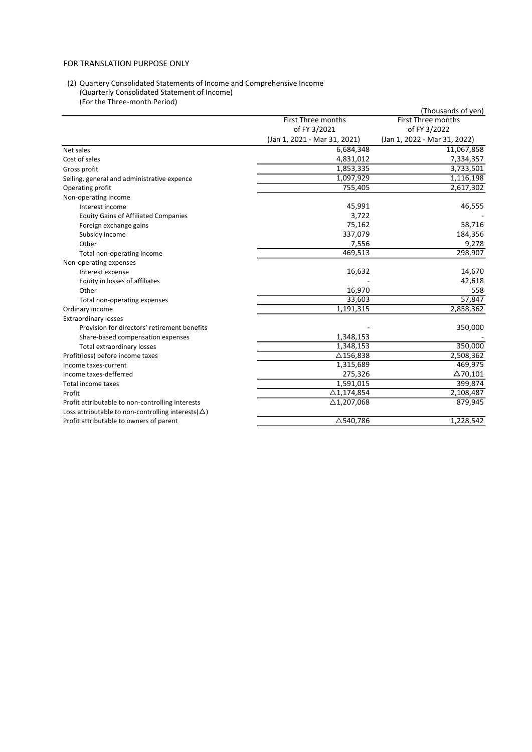### (2) Quartery Consolidated Statements of Income and Comprehensive Income (Quarterly Consolidated Statement of Income) (For the Three-month Period)

|                                                            |                                   | (Thousands of yen)           |
|------------------------------------------------------------|-----------------------------------|------------------------------|
|                                                            | <b>First Three months</b>         | <b>First Three months</b>    |
|                                                            | of FY 3/2021                      | of FY 3/2022                 |
|                                                            | (Jan 1, 2021 - Mar 31, 2021)      | (Jan 1, 2022 - Mar 31, 2022) |
| Net sales                                                  | 6,684,348                         | 11,067,858                   |
| Cost of sales                                              | 4,831,012                         | 7,334,357                    |
| Gross profit                                               | 1,853,335                         | 3,733,501                    |
| Selling, general and administrative expence                | 1,097,929                         | 1,116,198                    |
| Operating profit                                           | 755,405                           | 2,617,302                    |
| Non-operating income                                       |                                   |                              |
| Interest income                                            | 45,991                            | 46,555                       |
| <b>Equity Gains of Affiliated Companies</b>                | 3,722                             |                              |
| Foreign exchange gains                                     | 75,162                            | 58,716                       |
| Subsidy income                                             | 337,079                           | 184,356                      |
| Other                                                      | 7,556                             | 9,278                        |
| Total non-operating income                                 | 469,513                           | 298,907                      |
| Non-operating expenses                                     |                                   |                              |
| Interest expense                                           | 16,632                            | 14,670                       |
| Equity in losses of affiliates                             |                                   | 42,618                       |
| Other                                                      | 16,970                            | 558                          |
| Total non-operating expenses                               | 33,603                            | $\frac{1}{57,847}$           |
| Ordinary income                                            | 1,191,315                         | 2,858,362                    |
| <b>Extraordinary losses</b>                                |                                   |                              |
| Provision for directors' retirement benefits               |                                   | 350,000                      |
| Share-based compensation expenses                          | 1,348,153                         |                              |
| Total extraordinary losses                                 | 1,348,153                         | 350,000                      |
| Profit(loss) before income taxes                           | $\triangle$ 156,838               | 2,508,362                    |
| Income taxes-current                                       | 1,315,689                         | 469,975                      |
| Income taxes-defferred                                     | 275,326                           | $\Delta$ 70,101              |
| Total income taxes                                         | 1,591,015                         | 399,874                      |
| Profit                                                     | $\overline{\triangle}1, 174, 854$ | 2,108,487                    |
| Profit attributable to non-controlling interests           | $\triangle$ 1,207,068             | 879,945                      |
| Loss attributable to non-controlling interests( $\Delta$ ) |                                   |                              |
| Profit attributable to owners of parent                    | △540,786                          | 1,228,542                    |